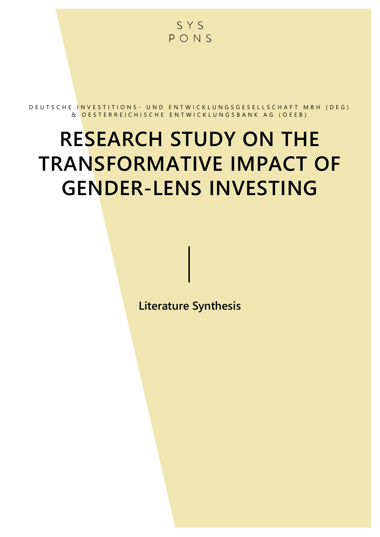

D E U T S C H E IN V E S T I T I O N S - UN D E N T W I C K L UN G S G E S E L L S C H A F T M B H ( D E G ) & OESTERREICHISCHE ENTWICKLUNGSBANK AG (OEEB)

# RESEARCH STUDY ON THE TRANSFORMATIVE IMPACT OF GENDER-LENS INVESTING

Literature Synthesis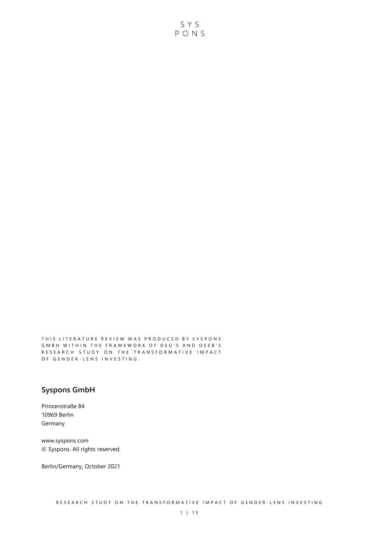THIS LITERATURE REVIEW WAS PRODUCED BY SYSPONS GMBH WITHIN THE FRAMEWORK OF DEG'S AND OEEB'S RESEARCH STUDY ON THE TRANSFORMATIVE IMPACT O F G E N D E R - L E N S I N V E S T I N G .

## Syspons GmbH

Prinzenstraße 84 10969 Berlin Germany

www.syspons.com © Syspons. All rights reserved.

Berlin/Germany, October 2021

SYS  $PONS$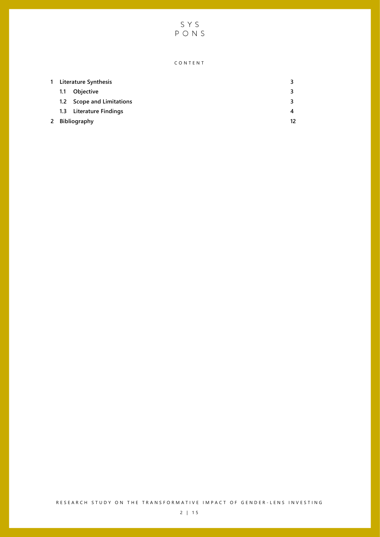SYS<br>PONS

#### C O N T E N T

| 1. | <b>Literature Synthesis</b> |                           | 3  |
|----|-----------------------------|---------------------------|----|
|    | 1.1                         | <b>Objective</b>          | 3  |
|    |                             | 1.2 Scope and Limitations |    |
|    |                             | 1.3 Literature Findings   | 4  |
|    | 2 Bibliography              |                           | 12 |

RESEARCH STUDY ON THE TRANSFORMATIVE IMPACT OF GENDER-LENS INVESTING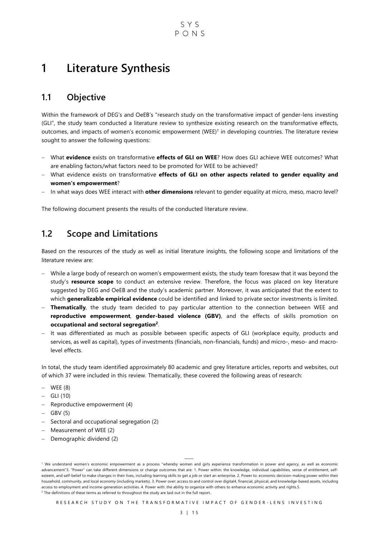# 1 Literature Synthesis

## 1.1 Objective

Within the framework of DEG's and OeEB's "research study on the transformative impact of gender-lens investing (GLI", the study team conducted a literature review to synthesize existing research on the transformative effects, outcomes, and impacts of women's economic empowerment (WEE)<sup>1</sup> in developing countries. The literature review sought to answer the following questions:

- What evidence exists on transformative effects of GLI on WEE? How does GLI achieve WEE outcomes? What are enabling factors/what factors need to be promoted for WEE to be achieved?
- What evidence exists on transformative effects of GLI on other aspects related to gender equality and women's empowerment?
- In what ways does WEE interact with other dimensions relevant to gender equality at micro, meso, macro level?

The following document presents the results of the conducted literature review.

## 1.2 Scope and Limitations

Based on the resources of the study as well as initial literature insights, the following scope and limitations of the literature review are:

- While a large body of research on women's empowerment exists, the study team foresaw that it was beyond the study's resource scope to conduct an extensive review. Therefore, the focus was placed on key literature suggested by DEG and OeEB and the study's academic partner. Moreover, it was anticipated that the extent to which **generalizable empirical evidence** could be identified and linked to private sector investments is limited.
- Thematically, the study team decided to pay particular attention to the connection between WEE and reproductive empowerment, gender-based violence (GBV), and the effects of skills promotion on occupational and sectoral segregation<sup>2</sup>.
- It was differentiated as much as possible between specific aspects of GLI (workplace equity, products and services, as well as capital), types of investments (financials, non-financials, funds) and micro-, meso- and macrolevel effects.

In total, the study team identified approximately 80 academic and grey literature articles, reports and websites, out of which 37 were included in this review. Thematically, these covered the following areas of research:

- $-$  WEE  $(8)$
- $-$  GLI (10)
- Reproductive empowerment (4)
- $-$  GBV (5)
- Sectoral and occupational segregation (2)
- Measurement of WEE (2)
- Demographic dividend (2)

⸻

RESEARCH STUDY ON THE TRANSFORMATIVE IMPACT OF GENDER-LENS INVESTING

<sup>&</sup>lt;sup>1</sup> We understand women's economic empowerment as a process "whereby women and girls experience transformation in power and agency, as well as economic advancement"3. "Power" can take different dimensions or change outcomes that are: 1. Power within: the knowledge, individual capabilities, sense of entitlement, selfesteem, and self-belief to make changes in their lives, including learning skills to get a job or start an enterprise. 2. Power to: economic decision-making power within their household, community, and local economy (including markets). 3. Power over: access to and control over digital4, financial, physical, and knowledge-based assets, including access to employment and income-generation activities. 4. Power with: the ability to organize with others to enhance economic activity and rights.5  $2$  The definitions of these terms as referred to throughout the study are laid out in the full report..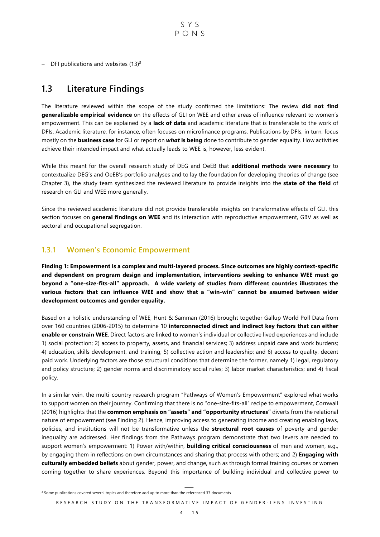- DFI publications and websites  $(13)^3$ 

## 1.3 Literature Findings

The literature reviewed within the scope of the study confirmed the limitations: The review did not find generalizable empirical evidence on the effects of GLI on WEE and other areas of influence relevant to women's empowerment. This can be explained by a lack of data and academic literature that is transferable to the work of DFIs. Academic literature, for instance, often focuses on microfinance programs. Publications by DFIs, in turn, focus mostly on the **business case** for GLI or report on **what is being** done to contribute to gender equality. How activities achieve their intended impact and what actually leads to WEE is, however, less evident.

While this meant for the overall research study of DEG and OeEB that **additional methods were necessary** to contextualize DEG's and OeEB's portfolio analyses and to lay the foundation for developing theories of change (see Chapter 3), the study team synthesized the reviewed literature to provide insights into the state of the field of research on GLI and WEE more generally.

Since the reviewed academic literature did not provide transferable insights on transformative effects of GLI, this section focuses on general findings on WEE and its interaction with reproductive empowerment, GBV as well as sectoral and occupational segregation.

#### 1.3.1 Women's Economic Empowerment

Finding 1: Empowerment is a complex and multi-layered process. Since outcomes are highly context-specific and dependent on program design and implementation, interventions seeking to enhance WEE must go beyond a "one-size-fits-all" approach. A wide variety of studies from different countries illustrates the various factors that can influence WEE and show that a "win-win" cannot be assumed between wider development outcomes and gender equality.

Based on a holistic understanding of WEE, Hunt & Samman (2016) brought together Gallup World Poll Data from over 160 countries (2006-2015) to determine 10 interconnected direct and indirect key factors that can either enable or constrain WEE. Direct factors are linked to women's individual or collective lived experiences and include 1) social protection; 2) access to property, assets, and financial services; 3) address unpaid care and work burdens; 4) education, skills development, and training; 5) collective action and leadership; and 6) access to quality, decent paid work. Underlying factors are those structural conditions that determine the former, namely 1) legal, regulatory and policy structure; 2) gender norms and discriminatory social rules; 3) labor market characteristics; and 4) fiscal policy.

In a similar vein, the multi-country research program "Pathways of Women's Empowerment" explored what works to support women on their journey. Confirming that there is no "one-size-fits-all" recipe to empowerment, Cornwall (2016) highlights that the common emphasis on "assets" and "opportunity structures" diverts from the relational nature of empowerment (see Finding 2). Hence, improving access to generating income and creating enabling laws, policies, and institutions will not be transformative unless the **structural root causes** of poverty and gender inequality are addressed. Her findings from the Pathways program demonstrate that two levers are needed to support women's empowerment: 1) Power with/within, **building critical consciousness** of men and women, e.g., by engaging them in reflections on own circumstances and sharing that process with others; and 2) **Engaging with** culturally embedded beliefs about gender, power, and change, such as through formal training courses or women coming together to share experiences. Beyond this importance of building individual and collective power to

<sup>⸻</sup>  <sup>3</sup> Some publications covered several topics and therefore add up to more than the referenced 37 documents.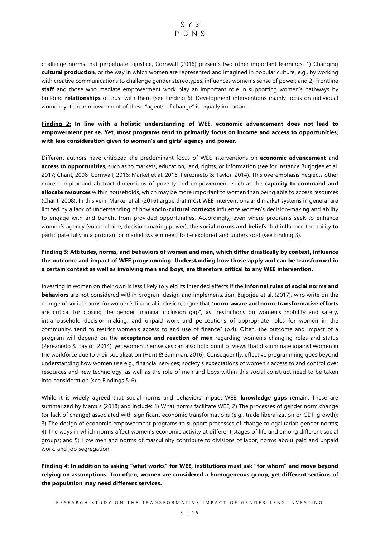

challenge norms that perpetuate injustice, Cornwall (2016) presents two other important learnings: 1) Changing cultural production, or the way in which women are represented and imagined in popular culture, e.g., by working with creative communications to challenge gender stereotypes, influences women's sense of power; and 2) Frontline staff and those who mediate empowerment work play an important role in supporting women's pathways by building **relationships** of trust with them (see Finding 6). Development interventions mainly focus on individual women, yet the empowerment of these "agents of change" is equally important.

#### Finding 2: In line with a holistic understanding of WEE, economic advancement does not lead to empowerment per se. Yet, most programs tend to primarily focus on income and access to opportunities, with less consideration given to women's and girls' agency and power.

Different authors have criticized the predominant focus of WEE interventions on economic advancement and access to opportunities, such as to markets, education, land, rights, or information (see for instance Burjoriee et al. 2017; Chant, 2008; Cornwall, 2016; Markel et al. 2016; Pereznieto & Taylor, 2014). This overemphasis neglects other more complex and abstract dimensions of poverty and empowerment, such as the **capacity to command and** allocate resources within households, which may be more important to women than being able to access resources (Chant, 2008). In this vein, Markel et al. (2016) argue that most WEE interventions and market systems in general are limited by a lack of understanding of how **socio-cultural contexts** influence women's decision-making and ability to engage with and benefit from provided opportunities. Accordingly, even where programs seek to enhance women's agency (voice, choice, decision-making power), the **social norms and beliefs** that influence the ability to participate fully in a program or market system need to be explored and understood (see Finding 3).

#### Finding 3: Attitudes, norms, and behaviors of women and men, which differ drastically by context, influence the outcome and impact of WEE programming. Understanding how those apply and can be transformed in a certain context as well as involving men and boys, are therefore critical to any WEE intervention.

Investing in women on their own is less likely to yield its intended effects if the **informal rules of social norms and behaviors** are not considered within program design and implementation. Bujorjee et al. (2017), who write on the change of social norms for women's financial inclusion, argue that "norm-aware and norm-transformative efforts are critical for closing the gender financial inclusion gap", as "restrictions on women's mobility and safety, intrahousehold decision-making, and unpaid work and perceptions of appropriate roles for women in the community, tend to restrict women's access to and use of finance" (p.4). Often, the outcome and impact of a program will depend on the acceptance and reaction of men regarding women's changing roles and status (Pereznieto & Taylor, 2014), yet women themselves can also hold point of views that discriminate against women in the workforce due to their socialization (Hunt & Samman, 2016). Consequently, effective programming goes beyond understanding how women use e.g., financial services; society's expectations of women's access to and control over resources and new technology, as well as the role of men and boys within this social construct need to be taken into consideration (see Findings 5-6).

While it is widely agreed that social norms and behaviors impact WEE, knowledge gaps remain. These are summarized by Marcus (2018) and include: 1) What norms facilitate WEE; 2) The processes of gender norm change (or lack of change) associated with significant economic transformations (e.g., trade liberalization or GDP growth); 3) The design of economic empowerment programs to support processes of change to egalitarian gender norms; 4) The ways in which norms affect women's economic activity at different stages of life and among different social groups; and 5) How men and norms of masculinity contribute to divisions of labor, norms about paid and unpaid work, and job segregation.

Finding 4: In addition to asking "what works" for WEE, institutions must ask "for whom" and move beyond relying on assumptions. Too often, women are considered a homogeneous group, yet different sections of the population may need different services.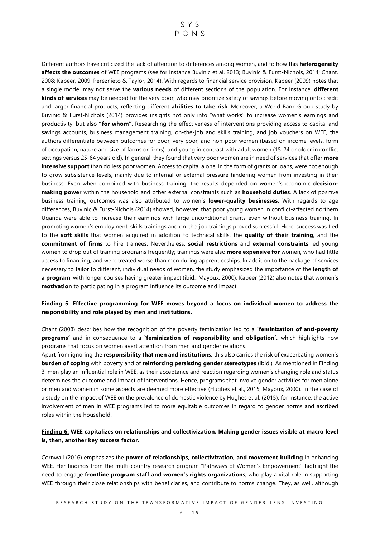## SYS  $P \cap N S$

Different authors have criticized the lack of attention to differences among women, and to how this heterogeneity affects the outcomes of WEE programs (see for instance Buvinic et al. 2013; Buvinic & Furst-Nichols, 2014; Chant, 2008; Kabeer, 2009; Pereznieto & Taylor, 2014). With regards to financial service provision, Kabeer (2009) notes that a single model may not serve the **various needs** of different sections of the population. For instance, **different** kinds of services may be needed for the very poor, who may prioritize safety of savings before moving onto credit and larger financial products, reflecting different **abilities to take risk**. Moreover, a World Bank Group study by Buvinic & Furst-Nichols (2014) provides insights not only into "what works" to increase women's earnings and productivity, but also "for whom". Researching the effectiveness of interventions providing access to capital and savings accounts, business management training, on-the-job and skills training, and job vouchers on WEE, the authors differentiate between outcomes for poor, very poor, and non-poor women (based on income levels, form of occupation, nature and size of farms or firms), and young in contrast with adult women (15-24 or older in conflict settings versus 25-64 years old). In general, they found that very poor women are in need of services that offer more intensive support than do less poor women. Access to capital alone, in the form of grants or loans, were not enough to grow subsistence-levels, mainly due to internal or external pressure hindering women from investing in their business. Even when combined with business training, the results depended on women's economic decisionmaking power within the household and other external constraints such as household duties. A lack of positive business training outcomes was also attributed to women's lower-quality businesses. With regards to age differences, Buvinic & Furst-Nichols (2014) showed, however, that poor young women in conflict-affected northern Uganda were able to increase their earnings with large unconditional grants even without business training. In promoting women's employment, skills trainings and on-the-job trainings proved successful. Here, success was tied to the soft skills that women acquired in addition to technical skills, the quality of their training, and the commitment of firms to hire trainees. Nevertheless, social restrictions and external constraints led young women to drop out of training programs frequently; trainings were also **more expensive for** women, who had little access to financing, and were treated worse than men during apprenticeships. In addition to the package of services necessary to tailor to different, individual needs of women, the study emphasized the importance of the length of a program, with longer courses having greater impact (ibid.; Mayoux, 2000). Kabeer (2012) also notes that women's motivation to participating in a program influence its outcome and impact.

#### Finding 5: Effective programming for WEE moves beyond a focus on individual women to address the responsibility and role played by men and institutions.

Chant (2008) describes how the recognition of the poverty feminization led to a **`feminization of anti-poverty** programs' and in consequence to a `feminization of responsibility and obligation', which highlights how programs that focus on women avert attention from men and gender relations.

Apart from ignoring the responsibility that men and institutions, this also carries the risk of exacerbating women's burden of coping with poverty and of reinforcing persisting gender stereotypes (ibid.). As mentioned in Finding 3, men play an influential role in WEE, as their acceptance and reaction regarding women's changing role and status determines the outcome and impact of interventions. Hence, programs that involve gender activities for men alone or men and women in some aspects are deemed more effective (Hughes et al., 2015; Mayoux, 2000). In the case of a study on the impact of WEE on the prevalence of domestic violence by Hughes et al. (2015), for instance, the active involvement of men in WEE programs led to more equitable outcomes in regard to gender norms and ascribed roles within the household.

#### Finding 6: WEE capitalizes on relationships and collectivization. Making gender issues visible at macro level is, then, another key success factor.

Cornwall (2016) emphasizes the power of relationships, collectivization, and movement building in enhancing WEE. Her findings from the multi-country research program "Pathways of Women's Empowerment" highlight the need to engage frontline program staff and women's rights organizations, who play a vital role in supporting WEE through their close relationships with beneficiaries, and contribute to norms change. They, as well, although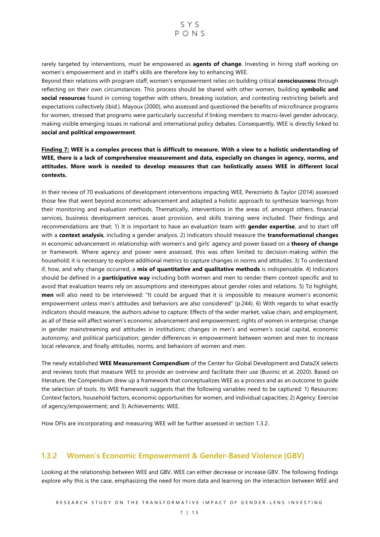rarely targeted by interventions, must be empowered as **agents of change**. Investing in hiring staff working on women's empowerment and in staff's skills are therefore key to enhancing WEE.

Beyond their relations with program staff, women's empowerment relies on building critical consciousness through reflecting on their own circumstances. This process should be shared with other women, building **symbolic and** social resources found in coming together with others, breaking isolation, and contesting restricting beliefs and expectations collectively (ibid.). Mayoux (2000), who assessed and questioned the benefits of microfinance programs for women, stressed that programs were particularly successful if linking members to macro-level gender advocacy, making visible emerging issues in national and international policy debates. Consequently, WEE is directly linked to social and political empowerment.

#### Finding 7: WEE is a complex process that is difficult to measure. With a view to a holistic understanding of WEE, there is a lack of comprehensive measurement and data, especially on changes in agency, norms, and attitudes. More work is needed to develop measures that can holistically assess WEE in different local contexts.

In their review of 70 evaluations of development interventions impacting WEE, Pereznieto & Taylor (2014) assessed those few that went beyond economic advancement and adapted a holistic approach to synthesize learnings from their monitoring and evaluation methods. Thematically, interventions in the areas of, amongst others, financial services, business development services, asset provision, and skills training were included. Their findings and recommendations are that: 1) It is important to have an evaluation team with gender expertise, and to start off with a context analysis, including a gender analysis. 2) Indicators should measure the transformational changes in economic advancement in relationship with women's and girls' agency and power based on a **theory of change** or framework. Where agency and power were assessed, this was often limited to decision-making within the household; it is necessary to explore additional metrics to capture changes in norms and attitudes. 3) To understand if, how, and why change occurred, a mix of quantitative and qualitative methods is indispensable. 4) Indicators should be defined in a **participative way** including both women and men to render them context-specific and to avoid that evaluation teams rely on assumptions and stereotypes about gender roles and relations. 5) To highlight, men will also need to be interviewed: "It could be argued that it is impossible to measure women's economic empowerment unless men's attitudes and behaviors are also considered" (p.244). 6) With regards to what exactly indicators should measure, the authors advise to capture: Effects of the wider market, value chain, and employment, as all of these will affect women's economic advancement and empowerment; rights of women in enterprise; change in gender mainstreaming and attitudes in institutions; changes in men's and women's social capital, economic autonomy, and political participation; gender differences in empowerment between women and men to increase local relevance, and finally attitudes, norms, and behaviors of women and men.

The newly established WEE Measurement Compendium of the Center for Global Development and Data2X selects and reviews tools that measure WEE to provide an overview and facilitate their use (Buvinic et al. 2020). Based on literature, the Compendium drew up a framework that conceptualizes WEE as a process and as an outcome to guide the selection of tools. Its WEE framework suggests that the following variables need to be captured: 1) Resources: Context factors, household factors, economic opportunities for women, and individual capacities; 2) Agency: Exercise of agency/empowerment; and 3) Achievements: WEE.

How DFIs are incorporating and measuring WEE will be further assessed in section 1.3.2.

#### 1.3.2 Women's Economic Empowerment & Gender-Based Violence (GBV)

Looking at the relationship between WEE and GBV, WEE can either decrease or increase GBV. The following findings explore why this is the case, emphasizing the need for more data and learning on the interaction between WEE and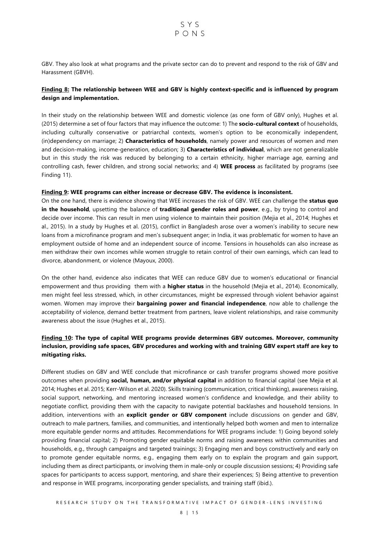GBV. They also look at what programs and the private sector can do to prevent and respond to the risk of GBV and Harassment (GBVH).

#### Finding 8: The relationship between WEE and GBV is highly context-specific and is influenced by program design and implementation.

In their study on the relationship between WEE and domestic violence (as one form of GBV only), Hughes et al. (2015) determine a set of four factors that may influence the outcome: 1) The socio-cultural context of households, including culturally conservative or patriarchal contexts, women's option to be economically independent, (in)dependency on marriage; 2) Characteristics of households, namely power and resources of women and men and decision-making, income-generation, education; 3) Characteristics of individual, which are not generalizable but in this study the risk was reduced by belonging to a certain ethnicity, higher marriage age, earning and controlling cash, fewer children, and strong social networks; and 4) WEE process as facilitated by programs (see Finding 11).

#### Finding 9: WEE programs can either increase or decrease GBV. The evidence is inconsistent.

On the one hand, there is evidence showing that WEE increases the risk of GBV. WEE can challenge the **status quo** in the household, upsetting the balance of traditional gender roles and power, e.g., by trying to control and decide over income. This can result in men using violence to maintain their position (Mejia et al., 2014; Hughes et al., 2015). In a study by Hughes et al. (2015), conflict in Bangladesh arose over a women's inability to secure new loans from a microfinance program and men's subsequent anger; in India, it was problematic for women to have an employment outside of home and an independent source of income. Tensions in households can also increase as men withdraw their own incomes while women struggle to retain control of their own earnings, which can lead to divorce, abandonment, or violence (Mayoux, 2000).

On the other hand, evidence also indicates that WEE can reduce GBV due to women's educational or financial empowerment and thus providing them with a **higher status** in the household (Mejia et al., 2014). Economically, men might feel less stressed, which, in other circumstances, might be expressed through violent behavior against women. Women may improve their **bargaining power and financial independence**, now able to challenge the acceptability of violence, demand better treatment from partners, leave violent relationships, and raise community awareness about the issue (Hughes et al., 2015).

#### Finding 10: The type of capital WEE programs provide determines GBV outcomes. Moreover, community inclusion, providing safe spaces, GBV procedures and working with and training GBV expert staff are key to mitigating risks.

Different studies on GBV and WEE conclude that microfinance or cash transfer programs showed more positive outcomes when providing social, human, and/or physical capital in addition to financial capital (see Mejia et al. 2014; Hughes et al. 2015; Kerr-Wilson et al. 2020). Skills training (communication, critical thinking), awareness raising, social support, networking, and mentoring increased women's confidence and knowledge, and their ability to negotiate conflict, providing them with the capacity to navigate potential backlashes and household tensions. In addition, interventions with an explicit gender or GBV component include discussions on gender and GBV, outreach to male partners, families, and communities, and intentionally helped both women and men to internalize more equitable gender norms and attitudes. Recommendations for WEE programs include: 1) Going beyond solely providing financial capital; 2) Promoting gender equitable norms and raising awareness within communities and households, e.g., through campaigns and targeted trainings; 3) Engaging men and boys constructively and early on to promote gender equitable norms, e.g., engaging them early on to explain the program and gain support, including them as direct participants, or involving them in male-only or couple discussion sessions; 4) Providing safe spaces for participants to access support, mentoring, and share their experiences; 5) Being attentive to prevention and response in WEE programs, incorporating gender specialists, and training staff (ibid.).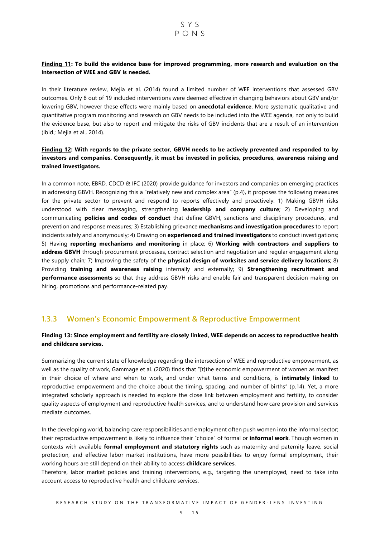#### Finding 11: To build the evidence base for improved programming, more research and evaluation on the intersection of WEE and GBV is needed.

In their literature review, Mejia et al. (2014) found a limited number of WEE interventions that assessed GBV outcomes. Only 8 out of 19 included interventions were deemed effective in changing behaviors about GBV and/or lowering GBV, however these effects were mainly based on **anecdotal evidence**. More systematic qualitative and quantitative program monitoring and research on GBV needs to be included into the WEE agenda, not only to build the evidence base, but also to report and mitigate the risks of GBV incidents that are a result of an intervention (ibid.; Mejia et al., 2014).

#### Finding 12: With regards to the private sector, GBVH needs to be actively prevented and responded to by investors and companies. Consequently, it must be invested in policies, procedures, awareness raising and trained investigators.

In a common note, EBRD, CDCD & IFC (2020) provide guidance for investors and companies on emerging practices in addressing GBVH. Recognizing this a "relatively new and complex area" (p.4), it proposes the following measures for the private sector to prevent and respond to reports effectively and proactively: 1) Making GBVH risks understood with clear messaging, strengthening leadership and company culture; 2) Developing and communicating **policies and codes of conduct** that define GBVH, sanctions and disciplinary procedures, and prevention and response measures; 3) Establishing grievance mechanisms and investigation procedures to report incidents safely and anonymously; 4) Drawing on experienced and trained investigators to conduct investigations; 5) Having reporting mechanisms and monitoring in place; 6) Working with contractors and suppliers to address GBVH through procurement processes, contract selection and negotiation and regular engagement along the supply chain; 7) Improving the safety of the **physical design of worksites and service delivery locations**; 8) Providing training and awareness raising internally and externally; 9) Strengthening recruitment and **performance assessments** so that they address GBVH risks and enable fair and transparent decision-making on hiring, promotions and performance-related pay.

#### 1.3.3 Women's Economic Empowerment & Reproductive Empowerment

#### Finding 13: Since employment and fertility are closely linked, WEE depends on access to reproductive health and childcare services.

Summarizing the current state of knowledge regarding the intersection of WEE and reproductive empowerment, as well as the quality of work, Gammage et al. (2020) finds that "[t]the economic empowerment of women as manifest in their choice of where and when to work, and under what terms and conditions, is intimately linked to reproductive empowerment and the choice about the timing, spacing, and number of births" (p.14). Yet, a more integrated scholarly approach is needed to explore the close link between employment and fertility, to consider quality aspects of employment and reproductive health services, and to understand how care provision and services mediate outcomes.

In the developing world, balancing care responsibilities and employment often push women into the informal sector; their reproductive empowerment is likely to influence their "choice" of formal or **informal work**. Though women in contexts with available formal employment and statutory rights such as maternity and paternity leave, social protection, and effective labor market institutions, have more possibilities to enjoy formal employment, their working hours are still depend on their ability to access childcare services.

Therefore, labor market policies and training interventions, e.g., targeting the unemployed, need to take into account access to reproductive health and childcare services.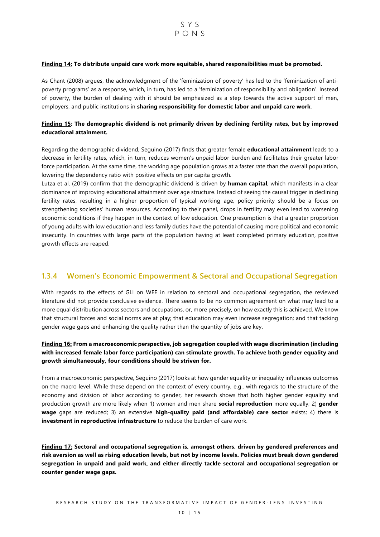#### Finding 14: To distribute unpaid care work more equitable, shared responsibilities must be promoted.

As Chant (2008) argues, the acknowledgment of the 'feminization of poverty' has led to the 'feminization of antipoverty programs' as a response, which, in turn, has led to a 'feminization of responsibility and obligation'. Instead of poverty, the burden of dealing with it should be emphasized as a step towards the active support of men, employers, and public institutions in sharing responsibility for domestic labor and unpaid care work.

#### Finding 15: The demographic dividend is not primarily driven by declining fertility rates, but by improved educational attainment.

Regarding the demographic dividend, Seguino (2017) finds that greater female **educational attainment** leads to a decrease in fertility rates, which, in turn, reduces women's unpaid labor burden and facilitates their greater labor force participation. At the same time, the working age population grows at a faster rate than the overall population, lowering the dependency ratio with positive effects on per capita growth.

Lutza et al. (2019) confirm that the demographic dividend is driven by human capital, which manifests in a clear dominance of improving educational attainment over age structure. Instead of seeing the causal trigger in declining fertility rates, resulting in a higher proportion of typical working age, policy priority should be a focus on strengthening societies' human resources. According to their panel, drops in fertility may even lead to worsening economic conditions if they happen in the context of low education. One presumption is that a greater proportion of young adults with low education and less family duties have the potential of causing more political and economic insecurity. In countries with large parts of the population having at least completed primary education, positive growth effects are reaped.

### 1.3.4 Women's Economic Empowerment & Sectoral and Occupational Segregation

With regards to the effects of GLI on WEE in relation to sectoral and occupational segregation, the reviewed literature did not provide conclusive evidence. There seems to be no common agreement on what may lead to a more equal distribution across sectors and occupations, or, more precisely, on how exactly this is achieved. We know that structural forces and social norms are at play; that education may even increase segregation; and that tacking gender wage gaps and enhancing the quality rather than the quantity of jobs are key.

#### Finding 16: From a macroeconomic perspective, job segregation coupled with wage discrimination (including with increased female labor force participation) can stimulate growth. To achieve both gender equality and growth simultaneously, four conditions should be striven for.

From a macroeconomic perspective, Seguino (2017) looks at how gender equality or inequality influences outcomes on the macro level. While these depend on the context of every country, e.g., with regards to the structure of the economy and division of labor according to gender, her research shows that both higher gender equality and production growth are more likely when 1) women and men share **social reproduction** more equally; 2) **gender** wage gaps are reduced; 3) an extensive high-quality paid (and affordable) care sector exists; 4) there is investment in reproductive infrastructure to reduce the burden of care work.

Finding 17: Sectoral and occupational segregation is, amongst others, driven by gendered preferences and risk aversion as well as rising education levels, but not by income levels. Policies must break down gendered segregation in unpaid and paid work, and either directly tackle sectoral and occupational segregation or counter gender wage gaps.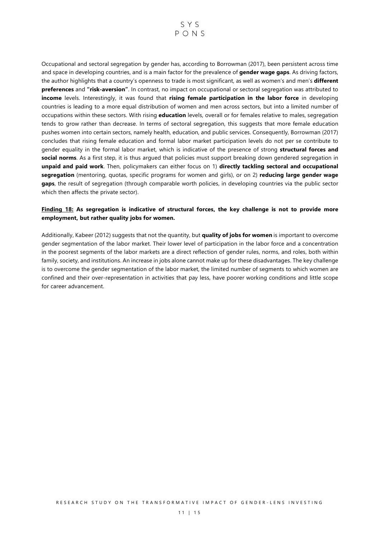

Occupational and sectoral segregation by gender has, according to Borrowman (2017), been persistent across time and space in developing countries, and is a main factor for the prevalence of gender wage gaps. As driving factors, the author highlights that a country's openness to trade is most significant, as well as women's and men's **different preferences** and "risk-aversion". In contrast, no impact on occupational or sectoral segregation was attributed to income levels. Interestingly, it was found that rising female participation in the labor force in developing countries is leading to a more equal distribution of women and men across sectors, but into a limited number of occupations within these sectors. With rising education levels, overall or for females relative to males, segregation tends to grow rather than decrease. In terms of sectoral segregation, this suggests that more female education pushes women into certain sectors, namely health, education, and public services. Consequently, Borrowman (2017) concludes that rising female education and formal labor market participation levels do not per se contribute to gender equality in the formal labor market, which is indicative of the presence of strong structural forces and social norms. As a first step, it is thus argued that policies must support breaking down gendered segregation in unpaid and paid work. Then, policymakers can either focus on 1) directly tackling sectoral and occupational segregation (mentoring, quotas, specific programs for women and girls), or on 2) reducing large gender wage gaps, the result of segregation (through comparable worth policies, in developing countries via the public sector which then affects the private sector).

#### Finding 18: As segregation is indicative of structural forces, the key challenge is not to provide more employment, but rather quality jobs for women.

Additionally, Kabeer (2012) suggests that not the quantity, but quality of jobs for women is important to overcome gender segmentation of the labor market. Their lower level of participation in the labor force and a concentration in the poorest segments of the labor markets are a direct reflection of gender rules, norms, and roles, both within family, society, and institutions. An increase in jobs alone cannot make up for these disadvantages. The key challenge is to overcome the gender segmentation of the labor market, the limited number of segments to which women are confined and their over-representation in activities that pay less, have poorer working conditions and little scope for career advancement.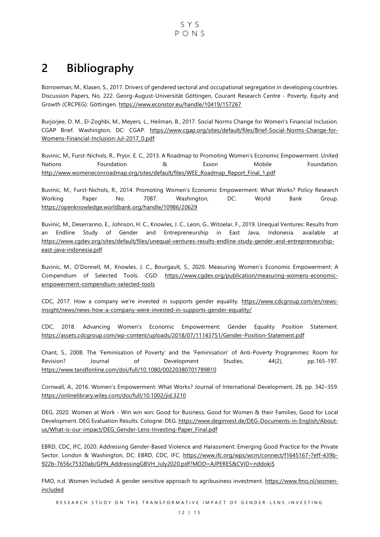$S Y S$  $P \cap N S$ 

# 2 Bibliography

Borrowman, M., Klasen, S., 2017. Drivers of gendered sectoral and occupational segregation in developing countries. Discussion Papers, No. 222. Georg-August-Universität Göttingen, Courant Research Centre - Poverty, Equity and Growth (CRCPEG): Göttingen. https://www.econstor.eu/handle/10419/157267

Burjorjee, D. M., El-Zoghbi, M., Meyers, L., Heilman, B., 2017. Social Norms Change for Women's Financial Inclusion. CGAP Brief. Washington, DC: CGAP. https://www.cgap.org/sites/default/files/Brief-Social-Norms-Change-for-Womens-Financial-Inclusion-Jul-2017\_0.pdf

Buvinic, M., Furst-Nichols, R., Pryor, E. C., 2013. A Roadmap to Promoting Women's Economic Empowerment. United Nations **Foundation** B **Exxon** Mobile Foundation. http://www.womeneconroadmap.org/sites/default/files/WEE\_Roadmap\_Report\_Final\_1.pdf

Buvinic, M., Furst-Nichols, R., 2014. Promoting Women's Economic Empowerment: What Works? Policy Research Working Paper No. 7087. Washington, DC: World Bank Group. https://openknowledge.worldbank.org/handle/10986/20629

Buvinic, M., Deserranno, E., Johnson, H. C., Knowles, J. C., Leon, G., Witoelar, F., 2019. Unequal Ventures: Results from an Endline Study of Gender and Entrepreneurship in East Java, Indonesia. available at https://www.cgdev.org/sites/default/files/unequal-ventures-results-endline-study-gender-and-entrepreneurshipeast-java-indonesia.pdf

Buvinic, M., O'Donnell, M., Knowles, J. C., Bourgault, S., 2020. Measuring Women's Economic Empowerment: A Compendium of Selected Tools. CGD: https://www.cgdev.org/publication/measuring-womens-economicempowerment-compendium-selected-tools

CDC, 2017. How a company we're invested in supports gender equality. https://www.cdcgroup.com/en/newsinsight/news/news-how-a-company-were-invested-in-supports-gender-equality/

CDC, 2018. Advancing Women's Economic Empowerment: Gender Equality Position Statement. https://assets.cdcgroup.com/wp-content/uploads/2018/07/11143751/Gender-Position-Statement.pdf

Chant, S., 2008. The 'Feminisation of Poverty' and the 'Feminisation' of Anti-Poverty Programmes: Room for Revision? Journal of Development Studies, 44(2), pp.165-197. https://www.tandfonline.com/doi/full/10.1080/00220380701789810

Cornwall, A., 2016. Women's Empowerment: What Works? Journal of International Development, 28, pp. 342–359. https://onlinelibrary.wiley.com/doi/full/10.1002/jid.3210

DEG, 2020. Women at Work - Win win win: Good for Business, Good for Women & their Families, Good for Local Development. DEG Evaluation Results. Cologne: DEG. https://www.deginvest.de/DEG-Documents-in-English/Aboutus/What-is-our-impact/DEG\_Gender-Lens-Investing-Paper\_Final.pdf

EBRD, CDC, IFC, 2020. Addressing Gender-Based Violence and Harassment: Emerging Good Practice for the Private Sector. London & Washington, DC: EBRD, CDC, IFC. https://www.ifc.org/wps/wcm/connect/f1645167-7eff-439b-922b-7656c75320ab/GPN\_AddressingGBVH\_July2020.pdf?MOD=AJPERES&CVID=nddokiS

FMO, n.d. Women Included: A gender sensitive approach to agribusiness investment. https://www.fmo.nl/womenincluded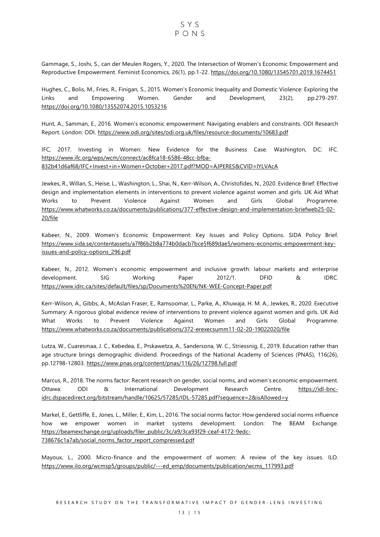Gammage, S., Joshi, S., can der Meulen Rogers, Y., 2020. The Intersection of Women's Economic Empowerment and Reproductive Empowerment. Feminist Economics, 26(1), pp.1-22. https://doi.org/10.1080/13545701.2019.1674451

Hughes, C., Bolis, M., Fries, R., Finigan, S., 2015. Women's Economic Inequality and Domestic Violence: Exploring the Links and Empowering Women. Gender and Development, 23(2), pp.279-297. https://doi.org/10.1080/13552074.2015.1053216

Hunt, A., Samman, E., 2016. Women's economic empowerment: Navigating enablers and constraints. ODI Research Report. London: ODI. https://www.odi.org/sites/odi.org.uk/files/resource-documents/10683.pdf

IFC, 2017. Investing in Women: New Evidence for the Business Case. Washington, DC: IFC. https://www.ifc.org/wps/wcm/connect/ac8fca18-6586-48cc-bfba-832b41d6af68/IFC+Invest+in+Women+October+2017.pdf?MOD=AJPERES&CVID=lYLVAcA

Jewkes, R., Willan, S., Heise, L., Washington, L., Shai, N., Kerr-Wilson, A., Christofides, N., 2020. Evidence Brief: Effective design and implementation elements in interventions to prevent violence against women and girls. UK Aid What Works to Prevent Violence Against Women and Girls Global Programme. https://www.whatworks.co.za/documents/publications/377-effective-design-and-implementation-briefweb25-02- 20/file

Kabeer, N., 2009. Women's Economic Empowerment: Key Issues and Policy Options. SIDA Policy Brief. https://www.sida.se/contentassets/a7f86b2b8a774b0dacb7bce5f689dae5/womens-economic-empowerment-keyissues-and-policy-options\_296.pdf

Kabeer, N., 2012. Women's economic empowerment and inclusive growth: labour markets and enterprise development. SIG Working Paper 2012/1. DFID & IDRC. https://www.idrc.ca/sites/default/files/sp/Documents%20EN/NK-WEE-Concept-Paper.pdf

Kerr-Wilson, A., Gibbs, A., McAslan Fraser, E., Ramsoomar, L., Parke, A., Khuwaja, H. M. A., Jewkes, R., 2020. Executive Summary: A rigorous global evidence review of interventions to prevent violence against women and girls. UK Aid What Works to Prevent Violence Against Women and Girls Global Programme. https://www.whatworks.co.za/documents/publications/372-erexecsumm11-02-20-19022020/file

Lutza, W., Cuaresmaa, J. C., Kebedea, E., Prskawetza, A., Sandersona, W. C., Striessnig, E., 2019. Education rather than age structure brings demographic dividend. Proceedings of the National Academy of Sciences (PNAS), 116(26), pp.12798-12803. https://www.pnas.org/content/pnas/116/26/12798.full.pdf

Marcus, R., 2018. The norms factor: Recent research on gender, social norms, and women's economic empowerment. Ottawa: ODI & International Development Research Centre. https://idl-bncidrc.dspacedirect.org/bitstream/handle/10625/57285/IDL-57285.pdf?sequence=2&isAllowed=y

Markel, E., Gettliffe, E., Jones, L., Miller, E., Kim, L., 2016. The social norms factor: How gendered social norms influence how we empower women in market systems development. London: The BEAM Exchange. https://beamexchange.org/uploads/filer\_public/3c/a9/3ca93f29-ceaf-4172-9edc-738676c1a7ab/social\_norms\_factor\_report\_compressed.pdf

Mayoux, L., 2000. Micro-finance and the empowerment of women: A review of the key issues. ILO. https://www.ilo.org/wcmsp5/groups/public/---ed\_emp/documents/publication/wcms\_117993.pdf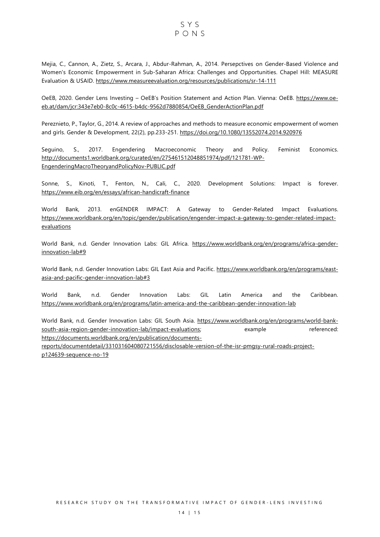SYS  $P \cap N S$ 

Mejia, C., Cannon, A., Zietz, S., Arcara, J., Abdur-Rahman, A., 2014. Persepctives on Gender-Based Violence and Women's Economic Empowerment in Sub-Saharan Africa: Challenges and Opportunities. Chapel Hill: MEASURE Evaluation & USAID. https://www.measureevaluation.org/resources/publications/sr-14-111

OeEB, 2020. Gender Lens Investing – OeEB's Position Statement and Action Plan. Vienna: OeEB. https://www.oeeb.at/dam/jcr:343e7eb0-8c0c-4615-b4dc-9562d7880854/OeEB\_GenderActionPlan.pdf

Pereznieto, P., Taylor, G., 2014. A review of approaches and methods to measure economic empowerment of women and girls. Gender & Development, 22(2), pp.233-251. https://doi.org/10.1080/13552074.2014.920976

Seguino, S., 2017. Engendering Macroeconomic Theory and Policy. Feminist Economics. http://documents1.worldbank.org/curated/en/275461512048851974/pdf/121781-WP-EngenderingMacroTheoryandPolicyNov-PUBLIC.pdf

Sonne, S., Kinoti, T., Fenton, N., Cali, C., 2020. Development Solutions: Impact is forever. https://www.eib.org/en/essays/african-handicraft-finance

World Bank, 2013. enGENDER IMPACT: A Gateway to Gender-Related Impact Evaluations. https://www.worldbank.org/en/topic/gender/publication/engender-impact-a-gateway-to-gender-related-impact**evaluations** 

World Bank, n.d. Gender Innovation Labs: GIL Africa. https://www.worldbank.org/en/programs/africa-genderinnovation-lab#9

World Bank, n.d. Gender Innovation Labs: GIL East Asia and Pacific. https://www.worldbank.org/en/programs/eastasia-and-pacific-gender-innovation-lab#3

World Bank, n.d. Gender Innovation Labs: GIL Latin America and the Caribbean. https://www.worldbank.org/en/programs/latin-america-and-the-caribbean-gender-innovation-lab

World Bank, n.d. Gender Innovation Labs: GIL South Asia. https://www.worldbank.org/en/programs/world-banksouth-asia-region-gender-innovation-lab/impact-evaluations; example referenced: https://documents.worldbank.org/en/publication/documents-

reports/documentdetail/331031604080721556/disclosable-version-of-the-isr-pmgsy-rural-roads-projectp124639-sequence-no-19